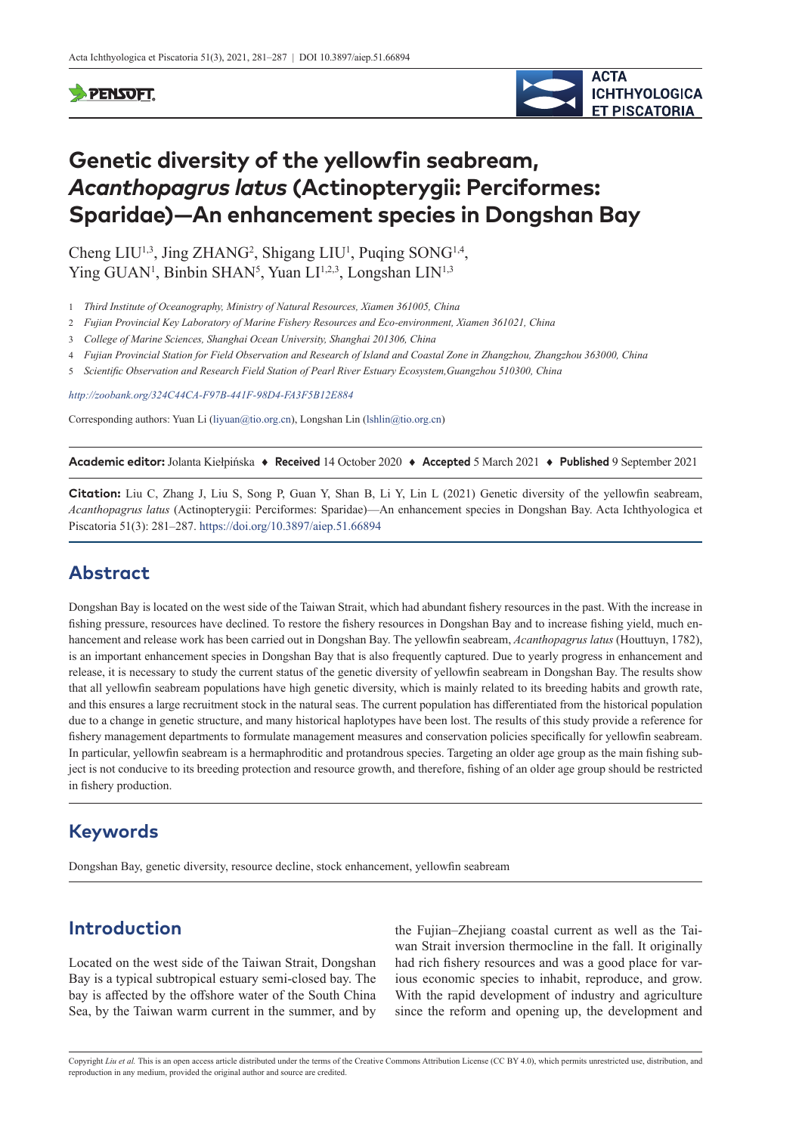## **SPENSOFT**



# **Genetic diversity of the yellowfin seabream,**  *Acanthopagrus latus* **(Actinopterygii: Perciformes: Sparidae)—An enhancement species in Dongshan Bay**

Cheng  $LIU^{1,3}$ , Jing ZHANG<sup>2</sup>, Shigang  $LIU^{1}$ , Puqing SONG<sup>1,4</sup>, Ying GUAN<sup>1</sup>, Binbin SHAN<sup>5</sup>, Yuan LI<sup>1,2,3</sup>, Longshan LIN<sup>1,3</sup>

- 1 *Third Institute of Oceanography, Ministry of Natural Resources, Xiamen 361005, China*
- 2 *Fujian Provincial Key Laboratory of Marine Fishery Resources and Eco-environment, Xiamen 361021, China*
- 3 *College of Marine Sciences, Shanghai Ocean University, Shanghai 201306, China*
- 4 *Fujian Provincial Station for Field Observation and Research of Island and Coastal Zone in Zhangzhou, Zhangzhou 363000, China*
- 5 *Scientific Observation and Research Field Station of Pearl River Estuary Ecosystem,Guangzhou 510300, China*

*<http://zoobank.org/324C44CA-F97B-441F-98D4-FA3F5B12E884>*

Corresponding authors: Yuan Li [\(liyuan@tio.org.cn](mailto:liyuan@tio.org.cn)), Longshan Lin [\(lshlin@tio.org.cn\)](mailto:lshlin@tio.org.cn)

**Academic editor:** Jolanta Kiełpińska ♦ **Received** 14 October 2020 ♦ **Accepted** 5 March 2021 ♦ **Published** 9 September 2021

**Citation:** Liu C, Zhang J, Liu S, Song P, Guan Y, Shan B, Li Y, Lin L (2021) Genetic diversity of the yellowfin seabream, *Acanthopagrus latus* (Actinopterygii: Perciformes: Sparidae)—An enhancement species in Dongshan Bay. Acta Ichthyologica et Piscatoria 51(3): 281–287.<https://doi.org/10.3897/aiep.51.66894>

# **Abstract**

Dongshan Bay is located on the west side of the Taiwan Strait, which had abundant fishery resources in the past. With the increase in fishing pressure, resources have declined. To restore the fishery resources in Dongshan Bay and to increase fishing yield, much enhancement and release work has been carried out in Dongshan Bay. The yellowfin seabream, *Acanthopagrus latus* (Houttuyn, 1782), is an important enhancement species in Dongshan Bay that is also frequently captured. Due to yearly progress in enhancement and release, it is necessary to study the current status of the genetic diversity of yellowfin seabream in Dongshan Bay. The results show that all yellowfin seabream populations have high genetic diversity, which is mainly related to its breeding habits and growth rate, and this ensures a large recruitment stock in the natural seas. The current population has differentiated from the historical population due to a change in genetic structure, and many historical haplotypes have been lost. The results of this study provide a reference for fishery management departments to formulate management measures and conservation policies specifically for yellowfin seabream. In particular, yellowfin seabream is a hermaphroditic and protandrous species. Targeting an older age group as the main fishing subject is not conducive to its breeding protection and resource growth, and therefore, fishing of an older age group should be restricted in fishery production.

## **Keywords**

Dongshan Bay, genetic diversity, resource decline, stock enhancement, yellowfin seabream

# **Introduction**

Located on the west side of the Taiwan Strait, Dongshan Bay is a typical subtropical estuary semi-closed bay. The bay is affected by the offshore water of the South China Sea, by the Taiwan warm current in the summer, and by

the Fujian–Zhejiang coastal current as well as the Taiwan Strait inversion thermocline in the fall. It originally had rich fishery resources and was a good place for various economic species to inhabit, reproduce, and grow. With the rapid development of industry and agriculture since the reform and opening up, the development and

Copyright *Liu et al.* This is an open access article distributed under the terms of the [Creative Commons Attribution License \(CC BY 4.0\),](http://creativecommons.org/licenses/by/4.0/) which permits unrestricted use, distribution, and reproduction in any medium, provided the original author and source are credited.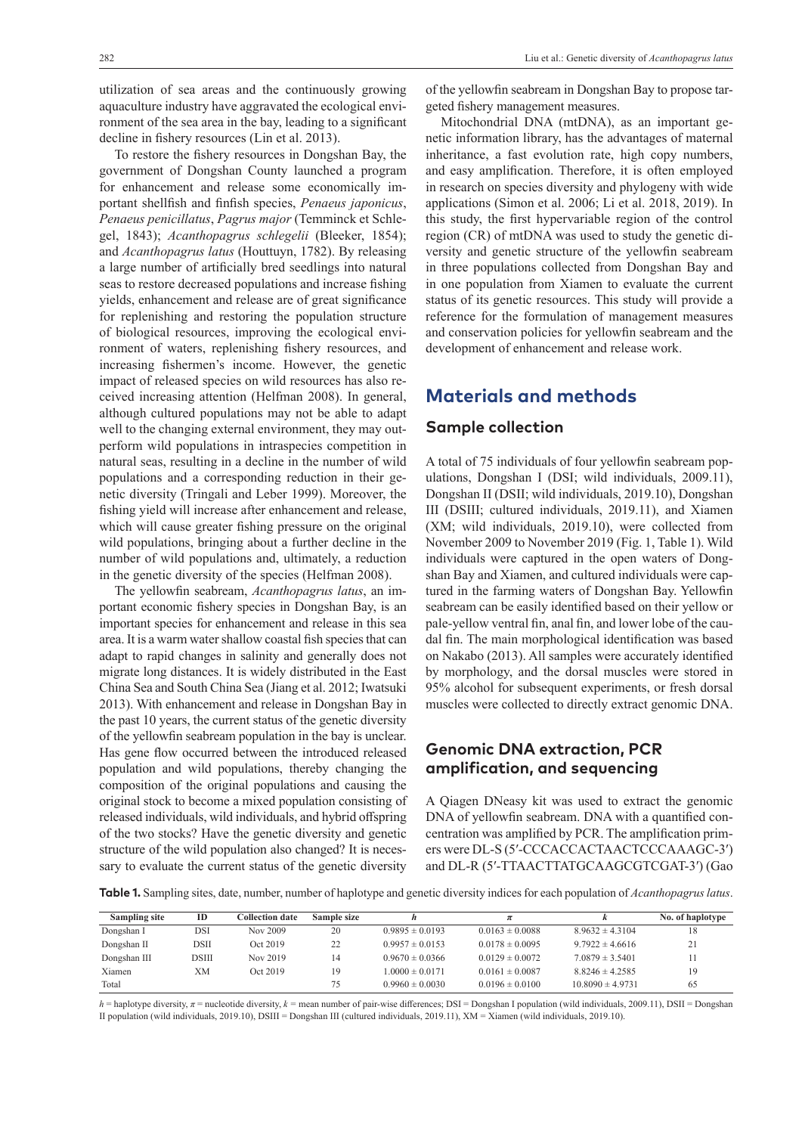utilization of sea areas and the continuously growing aquaculture industry have aggravated the ecological environment of the sea area in the bay, leading to a significant decline in fishery resources (Lin et al. 2013).

To restore the fishery resources in Dongshan Bay, the government of Dongshan County launched a program for enhancement and release some economically important shellfish and finfish species, *Penaeus japonicus*, *Penaeus penicillatus*, *Pagrus major* (Temminck et Schlegel, 1843); *Acanthopagrus schlegelii* (Bleeker, 1854); and *Acanthopagrus latus* (Houttuyn, 1782). By releasing a large number of artificially bred seedlings into natural seas to restore decreased populations and increase fishing yields, enhancement and release are of great significance for replenishing and restoring the population structure of biological resources, improving the ecological environment of waters, replenishing fishery resources, and increasing fishermen's income. However, the genetic impact of released species on wild resources has also received increasing attention (Helfman 2008). In general, although cultured populations may not be able to adapt well to the changing external environment, they may outperform wild populations in intraspecies competition in natural seas, resulting in a decline in the number of wild populations and a corresponding reduction in their genetic diversity (Tringali and Leber 1999). Moreover, the fishing yield will increase after enhancement and release, which will cause greater fishing pressure on the original wild populations, bringing about a further decline in the number of wild populations and, ultimately, a reduction in the genetic diversity of the species (Helfman 2008).

The yellowfin seabream, *Acanthopagrus latus*, an important economic fishery species in Dongshan Bay, is an important species for enhancement and release in this sea area. It is a warm water shallow coastal fish species that can adapt to rapid changes in salinity and generally does not migrate long distances. It is widely distributed in the East China Sea and South China Sea (Jiang et al. 2012; Iwatsuki 2013). With enhancement and release in Dongshan Bay in the past 10 years, the current status of the genetic diversity of the yellowfin seabream population in the bay is unclear. Has gene flow occurred between the introduced released population and wild populations, thereby changing the composition of the original populations and causing the original stock to become a mixed population consisting of released individuals, wild individuals, and hybrid offspring of the two stocks? Have the genetic diversity and genetic structure of the wild population also changed? It is necessary to evaluate the current status of the genetic diversity

of the yellowfin seabream in Dongshan Bay to propose targeted fishery management measures.

Mitochondrial DNA (mtDNA), as an important genetic information library, has the advantages of maternal inheritance, a fast evolution rate, high copy numbers, and easy amplification. Therefore, it is often employed in research on species diversity and phylogeny with wide applications (Simon et al. 2006; Li et al. 2018, 2019). In this study, the first hypervariable region of the control region (CR) of mtDNA was used to study the genetic diversity and genetic structure of the yellowfin seabream in three populations collected from Dongshan Bay and in one population from Xiamen to evaluate the current status of its genetic resources. This study will provide a reference for the formulation of management measures and conservation policies for yellowfin seabream and the development of enhancement and release work.

## **Materials and methods**

#### **Sample collection**

A total of 75 individuals of four yellowfin seabream populations, Dongshan I (DSI; wild individuals, 2009.11), Dongshan II (DSII; wild individuals, 2019.10), Dongshan III (DSIII; cultured individuals, 2019.11), and Xiamen (XM; wild individuals, 2019.10), were collected from November 2009 to November 2019 (Fig. 1, Table 1). Wild individuals were captured in the open waters of Dongshan Bay and Xiamen, and cultured individuals were captured in the farming waters of Dongshan Bay. Yellowfin seabream can be easily identified based on their yellow or pale-yellow ventral fin, anal fin, and lower lobe of the caudal fin. The main morphological identification was based on Nakabo (2013). All samples were accurately identified by morphology, and the dorsal muscles were stored in 95% alcohol for subsequent experiments, or fresh dorsal muscles were collected to directly extract genomic DNA.

## **Genomic DNA extraction, PCR amplification, and sequencing**

A Qiagen DNeasy kit was used to extract the genomic DNA of yellowfin seabream. DNA with a quantified concentration was amplified by PCR. The amplification primers were DL-S (5′-CCCACCACTAACTCCCAAAGC-3′) and DL-R (5′-TTAACTTATGCAAGCGTCGAT-3′) (Gao

**Table 1.** Sampling sites, date, number, number of haplotype and genetic diversity indices for each population of *Acanthopagrus latus*.

| Sampling site | ID           | Collection date: | Sample size |                     |                     |                      | No. of haplotype |
|---------------|--------------|------------------|-------------|---------------------|---------------------|----------------------|------------------|
| Dongshan I    | DSI          | Nov 2009         | 20          | $0.9895 \pm 0.0193$ | $0.0163 \pm 0.0088$ | $8.9632 \pm 4.3104$  | 18               |
| Dongshan II   | DSII         | Oct 2019         | 22          | $0.9957 \pm 0.0153$ | $0.0178 \pm 0.0095$ | $9.7922 \pm 4.6616$  | 21               |
| Dongshan III  | <b>DSIII</b> | Nov 2019         | 14          | $0.9670 \pm 0.0366$ | $0.0129 \pm 0.0072$ | $7.0879 \pm 3.5401$  |                  |
| Xiamen        | XМ           | Oct 2019         | 19          | $1.0000 \pm 0.0171$ | $0.0161 \pm 0.0087$ | $8.8246 \pm 4.2585$  | 19               |
| Total         |              |                  | 75          | $0.9960 \pm 0.0030$ | $0.0196 \pm 0.0100$ | $10.8090 \pm 4.9731$ | 65               |

*h* = haplotype diversity, *π* = nucleotide diversity, *k =* mean number of pair-wise differences; DSI = Dongshan I population (wild individuals, 2009.11), DSII = Dongshan II population (wild individuals, 2019.10), DSIII = Dongshan III (cultured individuals, 2019.11), XM = Xiamen (wild individuals, 2019.10).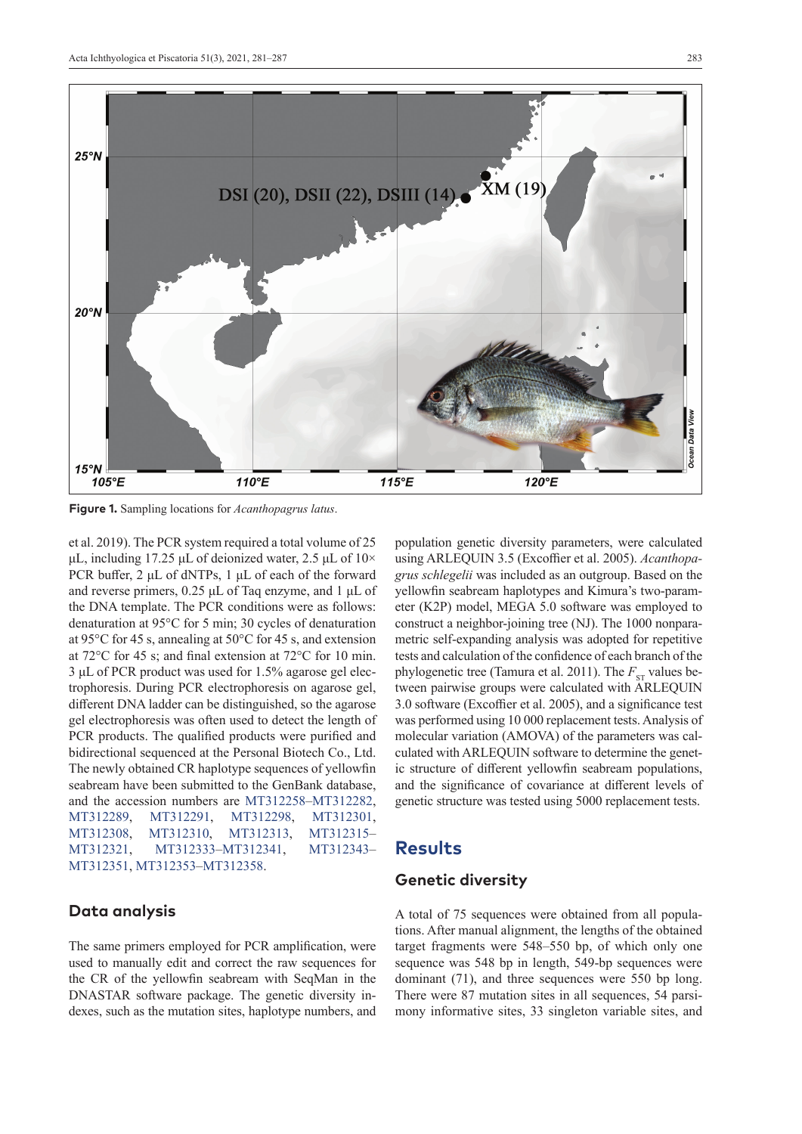

**Figure 1.** Sampling locations for *Acanthopagrus latus*.

et al. 2019). The PCR system required a total volume of 25 μL, including 17.25 μL of deionized water, 2.5 μL of  $10 \times$ PCR buffer, 2 μL of dNTPs, 1 μL of each of the forward and reverse primers, 0.25 μL of Taq enzyme, and 1 μL of the DNA template. The PCR conditions were as follows: denaturation at 95°C for 5 min; 30 cycles of denaturation at 95°C for 45 s, annealing at 50°C for 45 s, and extension at 72°C for 45 s; and final extension at 72°C for 10 min. 3 μL of PCR product was used for 1.5% agarose gel electrophoresis. During PCR electrophoresis on agarose gel, different DNA ladder can be distinguished, so the agarose gel electrophoresis was often used to detect the length of PCR products. The qualified products were purified and bidirectional sequenced at the Personal Biotech Co., Ltd. The newly obtained CR haplotype sequences of yellowfin seabream have been submitted to the GenBank database, and the accession numbers are [MT312258–](http://www.ncbi.nlm.nih.gov/nuccore/MT312258)[MT312282,](http://www.ncbi.nlm.nih.gov/nuccore/MT312282) [MT312289,](http://www.ncbi.nlm.nih.gov/nuccore/MT312289) [MT312291](http://www.ncbi.nlm.nih.gov/nuccore/MT312291), [MT312298](http://www.ncbi.nlm.nih.gov/nuccore/MT312298), [MT312301,](http://www.ncbi.nlm.nih.gov/nuccore/MT312301) [MT312308,](http://www.ncbi.nlm.nih.gov/nuccore/MT312308) [MT312310](http://www.ncbi.nlm.nih.gov/nuccore/MT312310), [MT312313,](http://www.ncbi.nlm.nih.gov/nuccore/MT312313) [MT312315](http://www.ncbi.nlm.nih.gov/nuccore/MT312315)– [MT312321,](http://www.ncbi.nlm.nih.gov/nuccore/MT312321) [MT312333](http://www.ncbi.nlm.nih.gov/nuccore/MT312333)[–MT312341,](http://www.ncbi.nlm.nih.gov/nuccore/MT312341) [MT312343](http://www.ncbi.nlm.nih.gov/nuccore/MT312343)– [MT312351,](http://www.ncbi.nlm.nih.gov/nuccore/MT312351) [MT312353–](http://www.ncbi.nlm.nih.gov/nuccore/MT312353)[MT312358](http://www.ncbi.nlm.nih.gov/nuccore/MT312358).

#### **Data analysis**

The same primers employed for PCR amplification, were used to manually edit and correct the raw sequences for the CR of the yellowfin seabream with SeqMan in the DNASTAR software package. The genetic diversity indexes, such as the mutation sites, haplotype numbers, and

population genetic diversity parameters, were calculated using ARLEQUIN 3.5 (Excoffier et al. 2005). *Acanthopagrus schlegelii* was included as an outgroup. Based on the yellowfin seabream haplotypes and Kimura's two-parameter (K2P) model, MEGA 5.0 software was employed to construct a neighbor-joining tree (NJ). The 1000 nonparametric self-expanding analysis was adopted for repetitive tests and calculation of the confidence of each branch of the phylogenetic tree (Tamura et al. 2011). The  $F_{ST}$  values between pairwise groups were calculated with ARLEQUIN 3.0 software (Excoffier et al. 2005), and a significance test was performed using 10 000 replacement tests. Analysis of molecular variation (AMOVA) of the parameters was calculated with ARLEQUIN software to determine the genetic structure of different yellowfin seabream populations, and the significance of covariance at different levels of genetic structure was tested using 5000 replacement tests.

## **Results**

#### **Genetic diversity**

A total of 75 sequences were obtained from all populations. After manual alignment, the lengths of the obtained target fragments were 548–550 bp, of which only one sequence was 548 bp in length, 549-bp sequences were dominant (71), and three sequences were 550 bp long. There were 87 mutation sites in all sequences, 54 parsimony informative sites, 33 singleton variable sites, and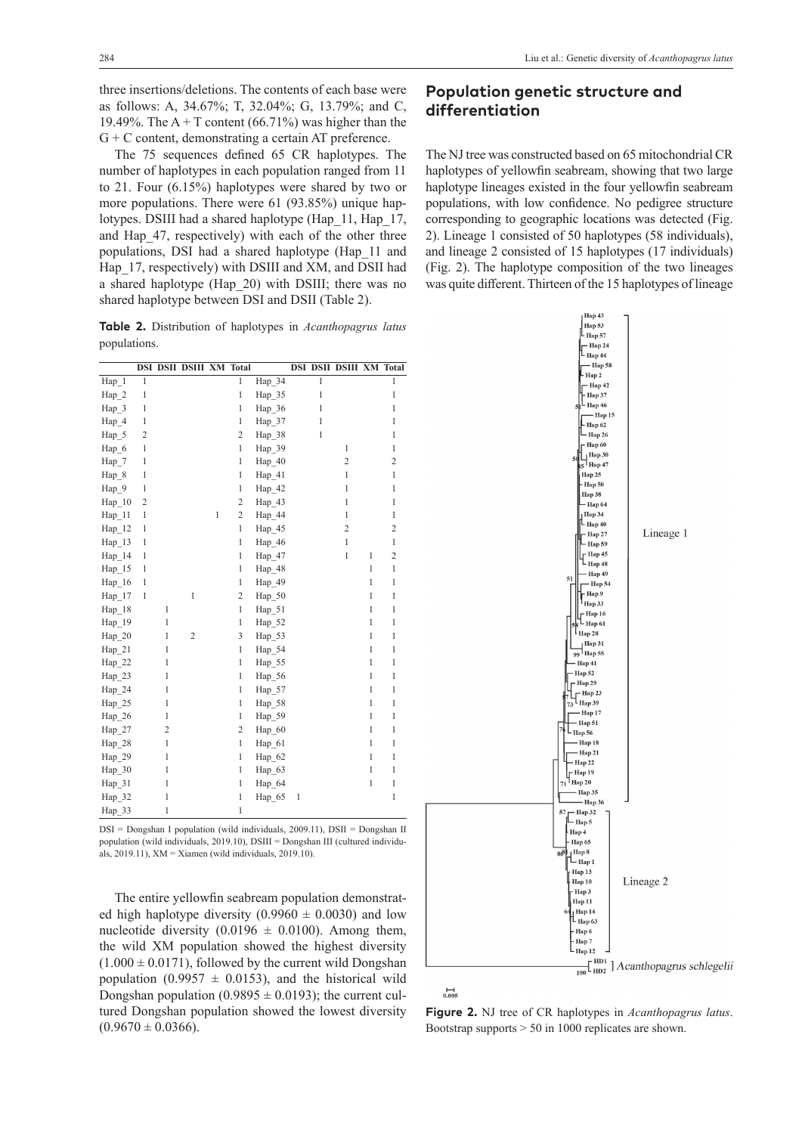three insertions/deletions. The contents of each base were as follows: A, 34.67%; T, 32.04%; G, 13.79%; and C, 19.49%. The  $A + T$  content (66.71%) was higher than the G + C content, demonstrating a certain AT preference.

The 75 sequences defined 65 CR haplotypes. The number of haplotypes in each population ranged from 11 to 21. Four (6.15%) haplotypes were shared by two or more populations. There were 61 (93.85%) unique haplotypes. DSIII had a shared haplotype (Hap\_11, Hap\_17, and Hap\_47, respectively) with each of the other three populations, DSI had a shared haplotype (Hap\_11 and Hap\_17, respectively) with DSIII and XM, and DSII had a shared haplotype (Hap\_20) with DSIII; there was no shared haplotype between DSI and DSII (Table 2).

**Table 2.** Distribution of haplotypes in *Acanthopagrus latus* populations.

|                  |                |                | <b>DSI DSII DSIII XM Total</b> |   |                |                     |              |                | <b>DSI DSII DSIII XM Total</b> |              |                |
|------------------|----------------|----------------|--------------------------------|---|----------------|---------------------|--------------|----------------|--------------------------------|--------------|----------------|
| Hap 1            | $\overline{1}$ |                |                                |   | $\overline{1}$ | $\overline{Hap_34}$ |              | $\overline{1}$ |                                |              | $\mathbf{1}$   |
| Hap 2            | $\mathbf{1}$   |                |                                |   | $\mathbf{1}$   | Hap 35              |              | $\mathbf{1}$   |                                |              | $\mathbf{1}$   |
| Hap 3            | $\mathbf{1}$   |                |                                |   | 1              | Hap 36              |              | $\mathbf{1}$   |                                |              | $\mathbf{1}$   |
| Hap 4            | $\mathbf{1}$   |                |                                |   | 1              | Hap 37              |              | $\mathbf{1}$   |                                |              | 1              |
| Hap 5            | $\overline{2}$ |                |                                |   | $\overline{2}$ | Hap 38              |              | $\mathbf{1}$   |                                |              | 1              |
| Hap 6            | 1              |                |                                |   | $\mathbf{1}$   | Hap 39              |              |                | $\mathbf{1}$                   |              | $\mathbf{1}$   |
| Hap 7            | $\mathbf{1}$   |                |                                |   | $\mathbf{1}$   | Hap 40              |              |                | $\overline{c}$                 |              | $\overline{2}$ |
| Hap 8            | 1              |                |                                |   | $\mathbf{1}$   | Hap 41              |              |                | $\mathbf{1}$                   |              | $\mathbf{1}$   |
| Hap 9            | 1              |                |                                |   | $\mathbf{1}$   | Hap 42              |              |                | $\mathbf{1}$                   |              | $\mathbf{1}$   |
| Hap 10           | $\overline{c}$ |                |                                |   | $\overline{2}$ | Hap 43              |              |                | 1                              |              | 1              |
| Hap 11           | 1              |                |                                | 1 | $\overline{2}$ | Hap 44              |              |                | 1                              |              | 1              |
| Hap 12           | 1              |                |                                |   | $\mathbf{1}$   | Hap 45              |              |                | $\overline{c}$                 |              | $\overline{c}$ |
| $\text{Hap}\_13$ | 1              |                |                                |   | $\mathbf{1}$   | Hap 46              |              |                | $\mathbf{1}$                   |              | 1              |
| Hap 14           | 1              |                |                                |   | $\mathbf{1}$   | Hap 47              |              |                | $\mathbf{1}$                   | 1            | $\overline{2}$ |
| Hap 15           | 1              |                |                                |   | $\mathbf{1}$   | Hap 48              |              |                |                                | $\mathbf{1}$ | $\mathbf{1}$   |
| Hap 16           | $\mathbf{1}$   |                |                                |   | $\mathbf{1}$   | Hap 49              |              |                |                                | $\mathbf{1}$ | 1              |
| $\text{Hap}_17$  | $\mathbf{1}$   |                | $\mathbf{1}$                   |   | $\overline{2}$ | Hap 50              |              |                |                                | $\mathbf{1}$ | 1              |
| Hap 18           |                | 1              |                                |   | $\mathbf{1}$   | Hap 51              |              |                |                                | $\mathbf{1}$ | $\mathbf{1}$   |
| Hap 19           |                | 1              |                                |   | $\mathbf{1}$   | Hap 52              |              |                |                                | $\mathbf{1}$ | 1              |
| Hap_20           |                | $\mathbf{1}$   | $\overline{2}$                 |   | 3              | Hap_53              |              |                |                                | $\mathbf{1}$ | $\mathbf{1}$   |
| Hap 21           |                | 1              |                                |   | $\mathbf{1}$   | Hap_54              |              |                |                                | $\mathbf{1}$ | 1              |
| Hap 22           |                | 1              |                                |   | $\mathbf{1}$   | Hap 55              |              |                |                                | $\mathbf{1}$ | 1              |
| Hap_23           |                | 1              |                                |   | 1              | Hap 56              |              |                |                                | $\mathbf{1}$ | $\mathbf{1}$   |
| Hap 24           |                | $\mathbf{1}$   |                                |   | 1              | Hap 57              |              |                |                                | 1            | 1              |
| Hap 25           |                | $\mathbf{1}$   |                                |   | $\mathbf{1}$   | Hap 58              |              |                |                                | $\mathbf{1}$ | 1              |
| Hap_26           |                | $\mathbf{1}$   |                                |   | $\mathbf{1}$   | Hap_59              |              |                |                                | $\mathbf{1}$ | $\mathbf{1}$   |
| Hap 27           |                | $\overline{2}$ |                                |   | $\overline{c}$ | Hap 60              |              |                |                                | $\mathbf{1}$ | 1              |
| Hap 28           |                | 1              |                                |   | $\mathbf{1}$   | Hap 61              |              |                |                                | $\mathbf{1}$ | 1              |
| Hap 29           |                | 1              |                                |   | $\mathbf{1}$   | Hap 62              |              |                |                                | $\mathbf{1}$ | $\mathbf{1}$   |
| Hap 30           |                | 1              |                                |   | $\mathbf{1}$   | Hap 63              |              |                |                                | $\mathbf{1}$ | 1              |
| Hap 31           |                | 1              |                                |   | $\mathbf{1}$   | Hap 64              |              |                |                                | $\mathbf{1}$ | $\mathbf{1}$   |
| Hap_32           |                | $\mathbf{1}$   |                                |   | $\mathbf{1}$   | Hap 65              | $\mathbf{1}$ |                |                                |              | 1              |
| Hap_33           |                | $\mathbf{1}$   |                                |   | 1              |                     |              |                |                                |              |                |

DSI = Dongshan I population (wild individuals, 2009.11), DSII = Dongshan II population (wild individuals, 2019.10), DSIII = Dongshan III (cultured individuals, 2019.11), XM = Xiamen (wild individuals, 2019.10).

The entire yellowfin seabream population demonstrated high haplotype diversity  $(0.9960 \pm 0.0030)$  and low nucleotide diversity (0.0196  $\pm$  0.0100). Among them, the wild XM population showed the highest diversity  $(1.000 \pm 0.0171)$ , followed by the current wild Dongshan population (0.9957  $\pm$  0.0153), and the historical wild Dongshan population (0.9895  $\pm$  0.0193); the current cultured Dongshan population showed the lowest diversity  $(0.9670 \pm 0.0366).$ 

### **Population genetic structure and differentiation**

The NJ tree was constructed based on 65 mitochondrial CR haplotypes of yellowfin seabream, showing that two large haplotype lineages existed in the four yellowfin seabream populations, with low confidence. No pedigree structure corresponding to geographic locations was detected (Fig. 2). Lineage 1 consisted of 50 haplotypes (58 individuals), and lineage 2 consisted of 15 haplotypes (17 individuals) (Fig. 2). The haplotype composition of the two lineages was quite different. Thirteen of the 15 haplotypes of lineage



**Figure 2.** NJ tree of CR haplotypes in *Acanthopagrus latus*. Bootstrap supports > 50 in 1000 replicates are shown.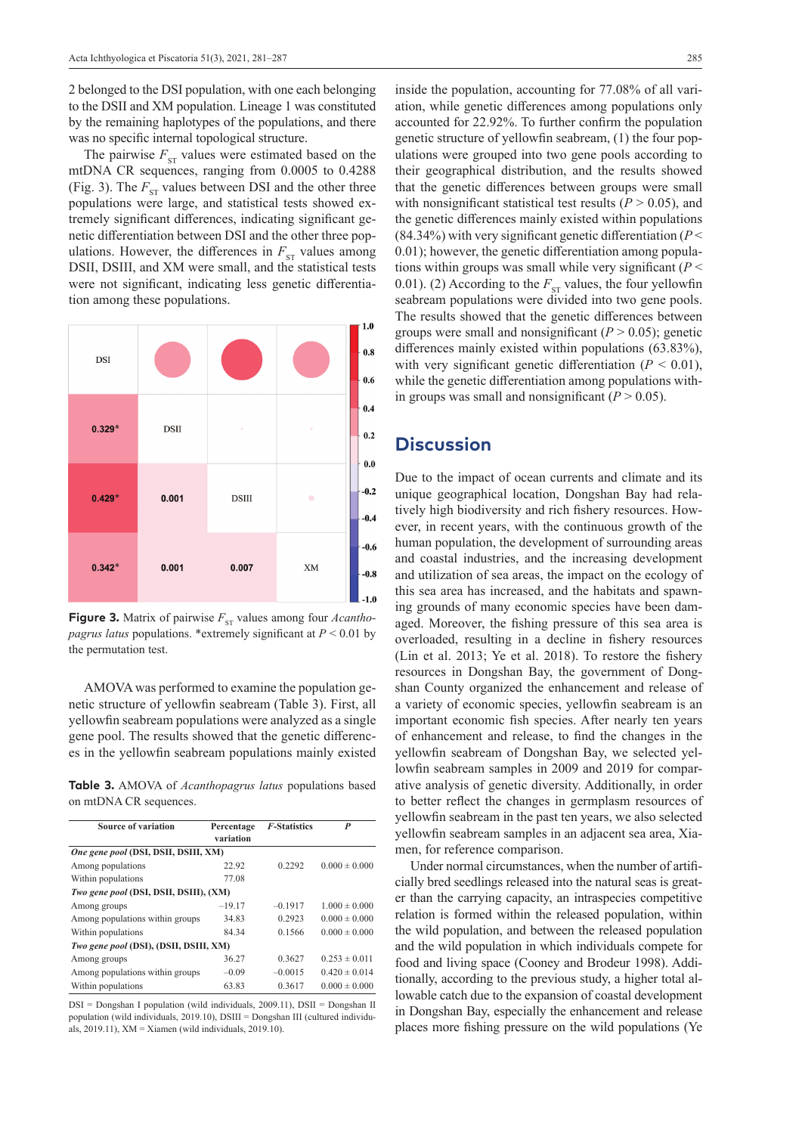2 belonged to the DSI population, with one each belonging to the DSII and XM population. Lineage 1 was constituted by the remaining haplotypes of the populations, and there was no specific internal topological structure.

The pairwise  $F_{ST}$  values were estimated based on the mtDNA CR sequences, ranging from 0.0005 to 0.4288 (Fig. 3). The  $F_{ST}$  values between DSI and the other three populations were large, and statistical tests showed extremely significant differences, indicating significant genetic differentiation between DSI and the other three populations. However, the differences in  $F_{ST}$  values among DSII, DSIII, and XM were small, and the statistical tests were not significant, indicating less genetic differentiation among these populations.



**Figure 3.** Matrix of pairwise  $F_{ST}$  values among four *Acanthopagrus latus* populations. \*extremely significant at *P* < 0.01 by the permutation test.

AMOVA was performed to examine the population genetic structure of yellowfin seabream (Table 3). First, all yellowfin seabream populations were analyzed as a single gene pool. The results showed that the genetic differences in the yellowfin seabream populations mainly existed

**Table 3.** AMOVA of *Acanthopagrus latus* populations based on mtDNA CR sequences.

| <b>Source of variation</b>             | Percentage<br>variation | <b>F-Statistics</b> | P                 |  |  |  |  |  |
|----------------------------------------|-------------------------|---------------------|-------------------|--|--|--|--|--|
| One gene pool (DSI, DSII, DSIII, XM)   |                         |                     |                   |  |  |  |  |  |
| Among populations                      | 22.92                   | 0.2292              | $0.000 \pm 0.000$ |  |  |  |  |  |
| Within populations                     | 77.08                   |                     |                   |  |  |  |  |  |
| Two gene pool (DSI, DSII, DSIII), (XM) |                         |                     |                   |  |  |  |  |  |
| Among groups                           | $-19.17$                | $-0.1917$           | $1.000 \pm 0.000$ |  |  |  |  |  |
| Among populations within groups        | 34.83                   | 0.2923              | $0.000 \pm 0.000$ |  |  |  |  |  |
| Within populations                     | 84.34                   | 0.1566              | $0.000 \pm 0.000$ |  |  |  |  |  |
| Two gene pool (DSI), (DSII, DSIII, XM) |                         |                     |                   |  |  |  |  |  |
| Among groups                           | 36.27                   | 0.3627              | $0.253 \pm 0.011$ |  |  |  |  |  |
| Among populations within groups        | $-0.09$                 | $-0.0015$           | $0.420 \pm 0.014$ |  |  |  |  |  |
| Within populations                     | 63.83                   | 0.3617              | $0.000 \pm 0.000$ |  |  |  |  |  |

DSI = Dongshan I population (wild individuals, 2009.11), DSII = Dongshan II population (wild individuals, 2019.10), DSIII = Dongshan III (cultured individuals, 2019.11), XM = Xiamen (wild individuals, 2019.10).

inside the population, accounting for 77.08% of all variation, while genetic differences among populations only accounted for 22.92%. To further confirm the population genetic structure of yellowfin seabream, (1) the four populations were grouped into two gene pools according to their geographical distribution, and the results showed that the genetic differences between groups were small with nonsignificant statistical test results  $(P > 0.05)$ , and the genetic differences mainly existed within populations (84.34%) with very significant genetic differentiation (*P* < 0.01); however, the genetic differentiation among populations within groups was small while very significant (*P* < 0.01). (2) According to the  $F_{ST}$  values, the four yellowfin seabream populations were divided into two gene pools. The results showed that the genetic differences between groups were small and nonsignificant  $(P > 0.05)$ ; genetic differences mainly existed within populations (63.83%), with very significant genetic differentiation  $(P < 0.01)$ , while the genetic differentiation among populations within groups was small and nonsignificant  $(P > 0.05)$ .

# **Discussion**

Due to the impact of ocean currents and climate and its unique geographical location, Dongshan Bay had relatively high biodiversity and rich fishery resources. However, in recent years, with the continuous growth of the human population, the development of surrounding areas and coastal industries, and the increasing development and utilization of sea areas, the impact on the ecology of this sea area has increased, and the habitats and spawning grounds of many economic species have been damaged. Moreover, the fishing pressure of this sea area is overloaded, resulting in a decline in fishery resources (Lin et al. 2013; Ye et al. 2018). To restore the fishery resources in Dongshan Bay, the government of Dongshan County organized the enhancement and release of a variety of economic species, yellowfin seabream is an important economic fish species. After nearly ten years of enhancement and release, to find the changes in the yellowfin seabream of Dongshan Bay, we selected yellowfin seabream samples in 2009 and 2019 for comparative analysis of genetic diversity. Additionally, in order to better reflect the changes in germplasm resources of yellowfin seabream in the past ten years, we also selected yellowfin seabream samples in an adjacent sea area, Xiamen, for reference comparison.

Under normal circumstances, when the number of artificially bred seedlings released into the natural seas is greater than the carrying capacity, an intraspecies competitive relation is formed within the released population, within the wild population, and between the released population and the wild population in which individuals compete for food and living space (Cooney and Brodeur 1998). Additionally, according to the previous study, a higher total allowable catch due to the expansion of coastal development in Dongshan Bay, especially the enhancement and release places more fishing pressure on the wild populations (Ye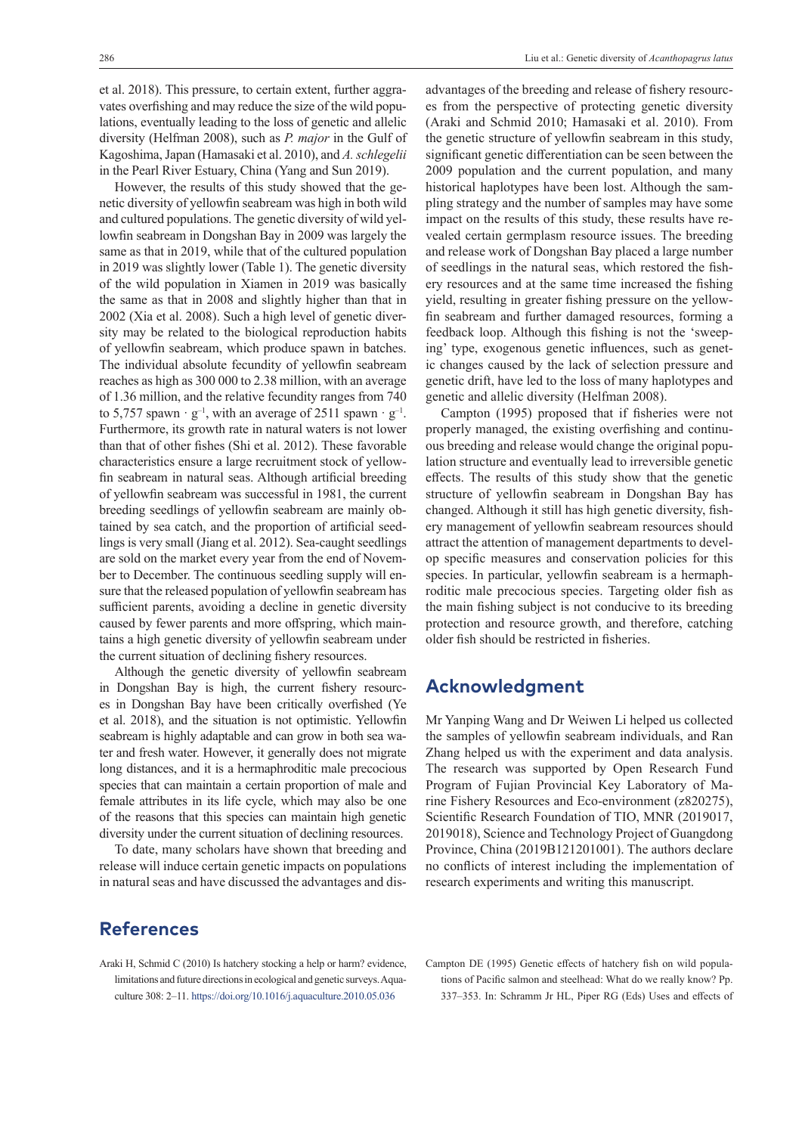et al. 2018). This pressure, to certain extent, further aggravates overfishing and may reduce the size of the wild populations, eventually leading to the loss of genetic and allelic diversity (Helfman 2008), such as *P. major* in the Gulf of Kagoshima, Japan (Hamasaki et al. 2010), and *A. schlegelii* in the Pearl River Estuary, China (Yang and Sun 2019).

However, the results of this study showed that the genetic diversity of yellowfin seabream was high in both wild and cultured populations. The genetic diversity of wild yellowfin seabream in Dongshan Bay in 2009 was largely the same as that in 2019, while that of the cultured population in 2019 was slightly lower (Table 1). The genetic diversity of the wild population in Xiamen in 2019 was basically the same as that in 2008 and slightly higher than that in 2002 (Xia et al. 2008). Such a high level of genetic diversity may be related to the biological reproduction habits of yellowfin seabream, which produce spawn in batches. The individual absolute fecundity of yellowfin seabream reaches as high as 300 000 to 2.38 million, with an average of 1.36 million, and the relative fecundity ranges from 740 to 5,757 spawn  $\cdot$  g<sup>-1</sup>, with an average of 2511 spawn  $\cdot$  g<sup>-1</sup>. Furthermore, its growth rate in natural waters is not lower than that of other fishes (Shi et al. 2012). These favorable characteristics ensure a large recruitment stock of yellowfin seabream in natural seas. Although artificial breeding of yellowfin seabream was successful in 1981, the current breeding seedlings of yellowfin seabream are mainly obtained by sea catch, and the proportion of artificial seedlings is very small (Jiang et al. 2012). Sea-caught seedlings are sold on the market every year from the end of November to December. The continuous seedling supply will ensure that the released population of yellowfin seabream has sufficient parents, avoiding a decline in genetic diversity caused by fewer parents and more offspring, which maintains a high genetic diversity of yellowfin seabream under the current situation of declining fishery resources.

Although the genetic diversity of yellowfin seabream in Dongshan Bay is high, the current fishery resources in Dongshan Bay have been critically overfished (Ye et al. 2018), and the situation is not optimistic. Yellowfin seabream is highly adaptable and can grow in both sea water and fresh water. However, it generally does not migrate long distances, and it is a hermaphroditic male precocious species that can maintain a certain proportion of male and female attributes in its life cycle, which may also be one of the reasons that this species can maintain high genetic diversity under the current situation of declining resources.

To date, many scholars have shown that breeding and release will induce certain genetic impacts on populations in natural seas and have discussed the advantages and dis-

# **References**

advantages of the breeding and release of fishery resources from the perspective of protecting genetic diversity (Araki and Schmid 2010; Hamasaki et al. 2010). From the genetic structure of yellowfin seabream in this study, significant genetic differentiation can be seen between the 2009 population and the current population, and many historical haplotypes have been lost. Although the sampling strategy and the number of samples may have some impact on the results of this study, these results have revealed certain germplasm resource issues. The breeding and release work of Dongshan Bay placed a large number of seedlings in the natural seas, which restored the fishery resources and at the same time increased the fishing yield, resulting in greater fishing pressure on the yellowfin seabream and further damaged resources, forming a feedback loop. Although this fishing is not the 'sweeping' type, exogenous genetic influences, such as genetic changes caused by the lack of selection pressure and genetic drift, have led to the loss of many haplotypes and genetic and allelic diversity (Helfman 2008).

Campton (1995) proposed that if fisheries were not properly managed, the existing overfishing and continuous breeding and release would change the original population structure and eventually lead to irreversible genetic effects. The results of this study show that the genetic structure of yellowfin seabream in Dongshan Bay has changed. Although it still has high genetic diversity, fishery management of yellowfin seabream resources should attract the attention of management departments to develop specific measures and conservation policies for this species. In particular, yellowfin seabream is a hermaphroditic male precocious species. Targeting older fish as the main fishing subject is not conducive to its breeding protection and resource growth, and therefore, catching older fish should be restricted in fisheries.

# **Acknowledgment**

Mr Yanping Wang and Dr Weiwen Li helped us collected the samples of yellowfin seabream individuals, and Ran Zhang helped us with the experiment and data analysis. The research was supported by Open Research Fund Program of Fujian Provincial Key Laboratory of Marine Fishery Resources and Eco-environment (z820275), Scientific Research Foundation of TIO, MNR (2019017, 2019018), Science and Technology Project of Guangdong Province, China (2019B121201001). The authors declare no conflicts of interest including the implementation of research experiments and writing this manuscript.

Araki H, Schmid C (2010) Is hatchery stocking a help or harm? evidence, limitations and future directions in ecological and genetic surveys. Aquaculture 308: 2–11.<https://doi.org/10.1016/j.aquaculture.2010.05.036>

Campton DE (1995) Genetic effects of hatchery fish on wild populations of Pacific salmon and steelhead: What do we really know? Pp. 337–353. In: Schramm Jr HL, Piper RG (Eds) Uses and effects of